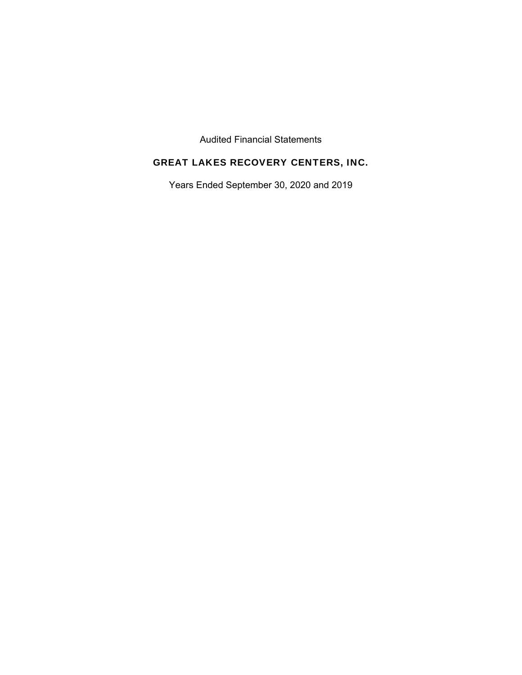Audited Financial Statements

# GREAT LAKES RECOVERY CENTERS, INC.

Years Ended September 30, 2020 and 2019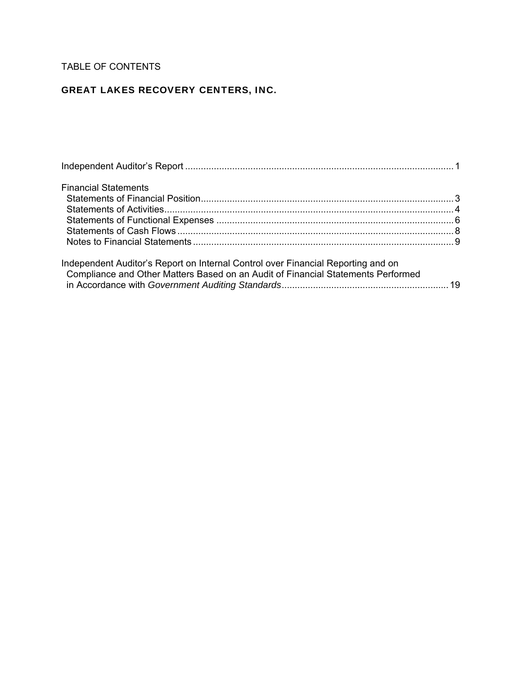# TABLE OF CONTENTS

# GREAT LAKES RECOVERY CENTERS, INC.

| <b>Financial Statements</b>                                                                                                                                          |  |
|----------------------------------------------------------------------------------------------------------------------------------------------------------------------|--|
|                                                                                                                                                                      |  |
|                                                                                                                                                                      |  |
|                                                                                                                                                                      |  |
|                                                                                                                                                                      |  |
|                                                                                                                                                                      |  |
| Independent Auditor's Report on Internal Control over Financial Reporting and on<br>Compliance and Other Matters Based on an Audit of Financial Statements Performed |  |
|                                                                                                                                                                      |  |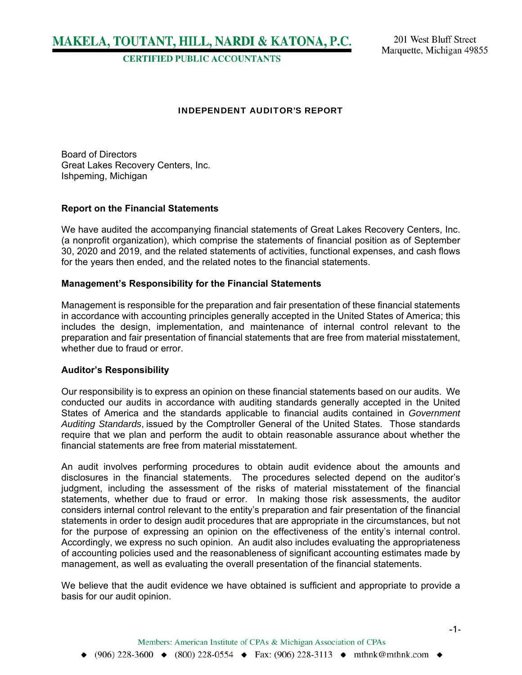MAKELA, TOUTANT, HILL, NARDI & KATONA, P.C.

**CERTIFIED PUBLIC ACCOUNTANTS** 

#### INDEPENDENT AUDITOR'S REPORT

Board of Directors Great Lakes Recovery Centers, Inc. Ishpeming, Michigan

#### **Report on the Financial Statements**

We have audited the accompanying financial statements of Great Lakes Recovery Centers, Inc. (a nonprofit organization), which comprise the statements of financial position as of September 30, 2020 and 2019, and the related statements of activities, functional expenses, and cash flows for the years then ended, and the related notes to the financial statements.

#### **Management's Responsibility for the Financial Statements**

Management is responsible for the preparation and fair presentation of these financial statements in accordance with accounting principles generally accepted in the United States of America; this includes the design, implementation, and maintenance of internal control relevant to the preparation and fair presentation of financial statements that are free from material misstatement, whether due to fraud or error.

#### **Auditor's Responsibility**

Our responsibility is to express an opinion on these financial statements based on our audits. We conducted our audits in accordance with auditing standards generally accepted in the United States of America and the standards applicable to financial audits contained in *Government Auditing Standards*, issued by the Comptroller General of the United States. Those standards require that we plan and perform the audit to obtain reasonable assurance about whether the financial statements are free from material misstatement.

An audit involves performing procedures to obtain audit evidence about the amounts and disclosures in the financial statements. The procedures selected depend on the auditor's judgment, including the assessment of the risks of material misstatement of the financial statements, whether due to fraud or error. In making those risk assessments, the auditor considers internal control relevant to the entity's preparation and fair presentation of the financial statements in order to design audit procedures that are appropriate in the circumstances, but not for the purpose of expressing an opinion on the effectiveness of the entity's internal control. Accordingly, we express no such opinion. An audit also includes evaluating the appropriateness of accounting policies used and the reasonableness of significant accounting estimates made by management, as well as evaluating the overall presentation of the financial statements.

We believe that the audit evidence we have obtained is sufficient and appropriate to provide a basis for our audit opinion.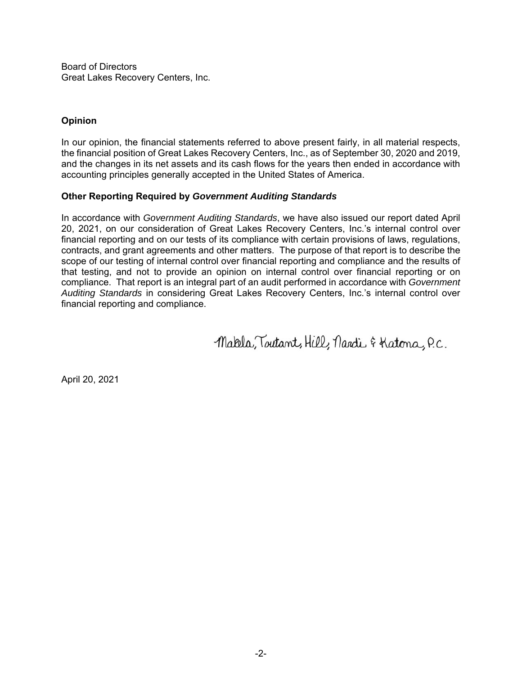Board of Directors Great Lakes Recovery Centers, Inc.

# **Opinion**

In our opinion, the financial statements referred to above present fairly, in all material respects, the financial position of Great Lakes Recovery Centers, Inc., as of September 30, 2020 and 2019, and the changes in its net assets and its cash flows for the years then ended in accordance with accounting principles generally accepted in the United States of America.

### **Other Reporting Required by** *Government Auditing Standards*

In accordance with *Government Auditing Standards*, we have also issued our report dated April 20, 2021, on our consideration of Great Lakes Recovery Centers, Inc.'s internal control over financial reporting and on our tests of its compliance with certain provisions of laws, regulations, contracts, and grant agreements and other matters. The purpose of that report is to describe the scope of our testing of internal control over financial reporting and compliance and the results of that testing, and not to provide an opinion on internal control over financial reporting or on compliance. That report is an integral part of an audit performed in accordance with *Government Auditing Standards* in considering Great Lakes Recovery Centers, Inc.'s internal control over financial reporting and compliance.

Makela, Toutant, Hill, Nardi & Katona, P.C.

April 20, 2021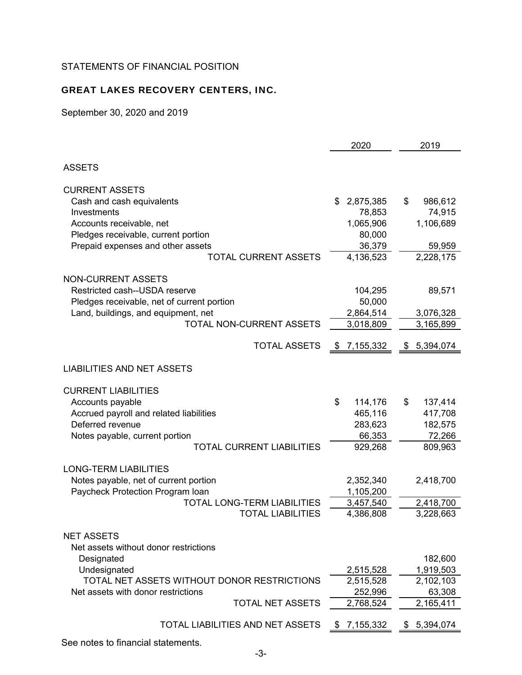# STATEMENTS OF FINANCIAL POSITION

# GREAT LAKES RECOVERY CENTERS, INC.

September 30, 2020 and 2019

|                                                            | 2020            | 2019            |
|------------------------------------------------------------|-----------------|-----------------|
| <b>ASSETS</b>                                              |                 |                 |
| <b>CURRENT ASSETS</b>                                      |                 |                 |
| Cash and cash equivalents                                  | 2,875,385<br>\$ | \$<br>986,612   |
| Investments                                                | 78,853          | 74,915          |
| Accounts receivable, net                                   | 1,065,906       | 1,106,689       |
| Pledges receivable, current portion                        | 80,000          |                 |
| Prepaid expenses and other assets                          | 36,379          | 59,959          |
| <b>TOTAL CURRENT ASSETS</b>                                | 4,136,523       | 2,228,175       |
| <b>NON-CURRENT ASSETS</b>                                  |                 |                 |
| Restricted cash--USDA reserve                              | 104,295         | 89,571          |
| Pledges receivable, net of current portion                 | 50,000          |                 |
| Land, buildings, and equipment, net                        | 2,864,514       | 3,076,328       |
| <b>TOTAL NON-CURRENT ASSETS</b>                            | 3,018,809       | 3,165,899       |
| <b>TOTAL ASSETS</b>                                        | 7,155,332<br>P. | 5,394,074<br>\$ |
| <b>LIABILITIES AND NET ASSETS</b>                          |                 |                 |
| <b>CURRENT LIABILITIES</b>                                 |                 |                 |
| Accounts payable                                           | \$<br>114,176   | \$<br>137,414   |
| Accrued payroll and related liabilities                    | 465,116         | 417,708         |
| Deferred revenue                                           | 283,623         | 182,575         |
| Notes payable, current portion                             | 66,353          | 72,266          |
| <b>TOTAL CURRENT LIABILITIES</b>                           | 929,268         | 809,963         |
| <b>LONG-TERM LIABILITIES</b>                               |                 |                 |
| Notes payable, net of current portion                      | 2,352,340       | 2,418,700       |
| Paycheck Protection Program Ioan                           | 1,105,200       |                 |
| <b>TOTAL LONG-TERM LIABILITIES</b>                         | 3,457,540       | 2,418,700       |
| <b>TOTAL LIABILITIES</b>                                   | 4,386,808       | 3,228,663       |
| <b>NET ASSETS</b><br>Net assets without donor restrictions |                 |                 |
| Designated                                                 |                 | 182,600         |
| Undesignated                                               | 2,515,528       | 1,919,503       |
| TOTAL NET ASSETS WITHOUT DONOR RESTRICTIONS                | 2,515,528       | 2,102,103       |
| Net assets with donor restrictions                         | 252,996         | 63,308          |
| <b>TOTAL NET ASSETS</b>                                    | 2,768,524       | 2,165,411       |
| <b>TOTAL LIABILITIES AND NET ASSETS</b>                    | 7,155,332<br>\$ | \$5,394,074     |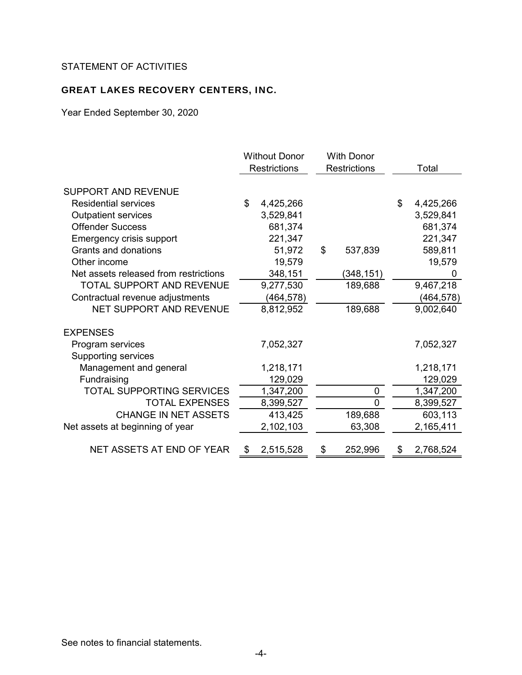# STATEMENT OF ACTIVITIES

# GREAT LAKES RECOVERY CENTERS, INC.

Year Ended September 30, 2020

|                                       | <b>Without Donor</b><br><b>Restrictions</b> |           | <b>With Donor</b><br><b>Restrictions</b> |    | Total     |
|---------------------------------------|---------------------------------------------|-----------|------------------------------------------|----|-----------|
|                                       |                                             |           |                                          |    |           |
| SUPPORT AND REVENUE                   |                                             |           |                                          |    |           |
| <b>Residential services</b>           | \$                                          | 4,425,266 |                                          | \$ | 4,425,266 |
| <b>Outpatient services</b>            |                                             | 3,529,841 |                                          |    | 3,529,841 |
| <b>Offender Success</b>               |                                             | 681,374   |                                          |    | 681,374   |
| <b>Emergency crisis support</b>       |                                             | 221,347   |                                          |    | 221,347   |
| Grants and donations                  |                                             | 51,972    | \$<br>537,839                            |    | 589,811   |
| Other income                          |                                             | 19,579    |                                          |    | 19,579    |
| Net assets released from restrictions |                                             | 348,151   | (348,151)                                |    | 0         |
| <b>TOTAL SUPPORT AND REVENUE</b>      |                                             | 9,277,530 | 189,688                                  |    | 9,467,218 |
| Contractual revenue adjustments       |                                             | (464,578) |                                          |    | (464,578) |
| NET SUPPORT AND REVENUE               |                                             | 8,812,952 | 189,688                                  |    | 9,002,640 |
| <b>EXPENSES</b>                       |                                             |           |                                          |    |           |
| Program services                      |                                             | 7,052,327 |                                          |    | 7,052,327 |
| <b>Supporting services</b>            |                                             |           |                                          |    |           |
| Management and general                |                                             | 1,218,171 |                                          |    | 1,218,171 |
| Fundraising                           |                                             | 129,029   |                                          |    | 129,029   |
| <b>TOTAL SUPPORTING SERVICES</b>      |                                             | 1,347,200 | 0                                        |    | 1,347,200 |
| <b>TOTAL EXPENSES</b>                 |                                             | 8,399,527 | 0                                        |    | 8,399,527 |
| <b>CHANGE IN NET ASSETS</b>           |                                             | 413,425   | 189,688                                  |    | 603,113   |
| Net assets at beginning of year       |                                             | 2,102,103 | 63,308                                   |    | 2,165,411 |
| NET ASSETS AT END OF YEAR             | - \$                                        | 2,515,528 | \$<br>252,996                            | S  | 2,768,524 |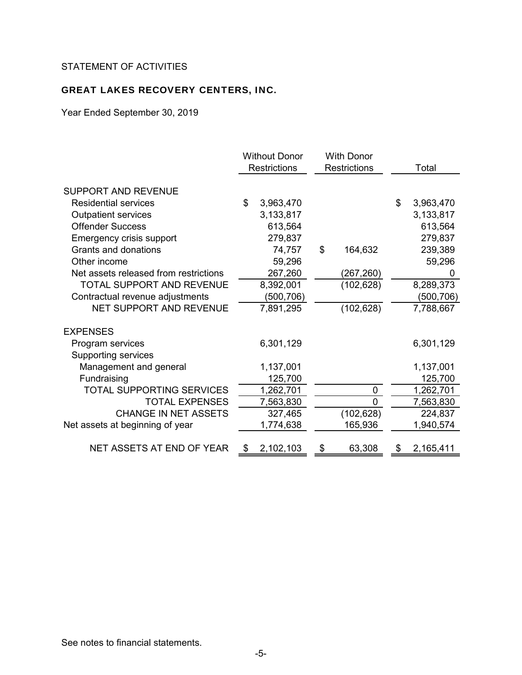# STATEMENT OF ACTIVITIES

# GREAT LAKES RECOVERY CENTERS, INC.

Year Ended September 30, 2019

|                                       |      | <b>Without Donor</b><br><b>Restrictions</b> | <b>With Donor</b><br><b>Restrictions</b> |              |    | Total     |
|---------------------------------------|------|---------------------------------------------|------------------------------------------|--------------|----|-----------|
| <b>SUPPORT AND REVENUE</b>            |      |                                             |                                          |              |    |           |
| <b>Residential services</b>           | \$   | 3,963,470                                   |                                          |              | \$ | 3,963,470 |
| <b>Outpatient services</b>            |      | 3,133,817                                   |                                          |              |    | 3,133,817 |
| <b>Offender Success</b>               |      | 613,564                                     |                                          |              |    | 613,564   |
| Emergency crisis support              |      | 279,837                                     |                                          |              |    | 279,837   |
| Grants and donations                  |      | 74,757                                      | \$                                       | 164,632      |    | 239,389   |
| Other income                          |      | 59,296                                      |                                          |              |    | 59,296    |
| Net assets released from restrictions |      | 267,260                                     |                                          | (267, 260)   |    |           |
| <b>TOTAL SUPPORT AND REVENUE</b>      |      | 8,392,001                                   |                                          | (102, 628)   |    | 8,289,373 |
| Contractual revenue adjustments       |      | (500,706)                                   |                                          |              |    | (500,706) |
| <b>NET SUPPORT AND REVENUE</b>        |      | 7,891,295                                   |                                          | (102, 628)   |    | 7,788,667 |
| <b>EXPENSES</b>                       |      |                                             |                                          |              |    |           |
| Program services                      |      | 6,301,129                                   |                                          |              |    | 6,301,129 |
| <b>Supporting services</b>            |      |                                             |                                          |              |    |           |
| Management and general                |      | 1,137,001                                   |                                          |              |    | 1,137,001 |
| Fundraising                           |      | 125,700                                     |                                          |              |    | 125,700   |
| <b>TOTAL SUPPORTING SERVICES</b>      |      | 1,262,701                                   |                                          | 0            |    | 1,262,701 |
| <b>TOTAL EXPENSES</b>                 |      | 7,563,830                                   |                                          | $\mathbf{0}$ |    | 7,563,830 |
| <b>CHANGE IN NET ASSETS</b>           |      | 327,465                                     |                                          | (102, 628)   |    | 224,837   |
| Net assets at beginning of year       |      | 1,774,638                                   |                                          | 165,936      |    | 1,940,574 |
| NET ASSETS AT END OF YEAR             | - \$ | 2,102,103                                   | \$                                       | 63,308       | S  | 2,165,411 |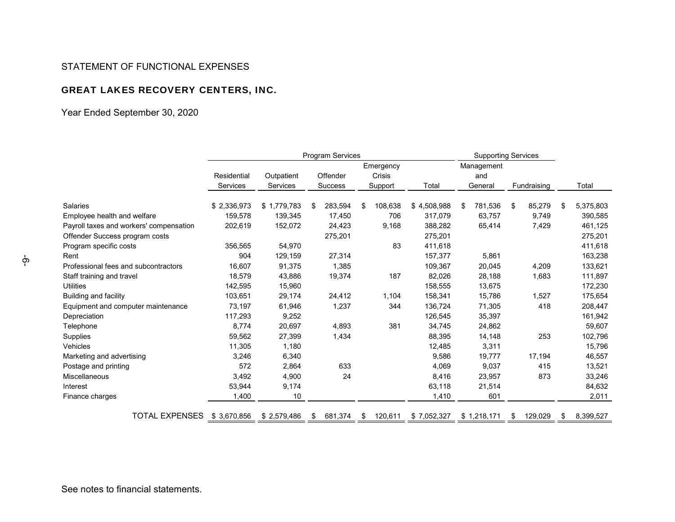#### STATEMENT OF FUNCTIONAL EXPENSES

# GREAT LAKES RECOVERY CENTERS, INC.

Year Ended September 30, 2020

|                                         |             |                 |          | Program Services |               |             | <b>Supporting Services</b> |             |    |             |    |           |
|-----------------------------------------|-------------|-----------------|----------|------------------|---------------|-------------|----------------------------|-------------|----|-------------|----|-----------|
|                                         |             |                 |          |                  | Emergency     |             |                            | Management  |    |             |    |           |
|                                         | Residential | Outpatient      | Offender |                  | Crisis        |             |                            | and         |    |             |    |           |
|                                         | Services    | <b>Services</b> |          | Success          | Support       | Total       |                            | General     |    | Fundraising |    | Total     |
| Salaries                                | \$2,336,973 | \$1,779,783     | S        | 283,594          | \$<br>108,638 | \$4,508,988 | \$                         | 781,536     | \$ | 85,279      | \$ | 5,375,803 |
| Employee health and welfare             | 159,578     | 139,345         |          | 17,450           | 706           | 317,079     |                            | 63,757      |    | 9,749       |    | 390,585   |
| Payroll taxes and workers' compensation | 202,619     | 152,072         |          | 24,423           | 9,168         | 388,282     |                            | 65,414      |    | 7,429       |    | 461,125   |
| Offender Success program costs          |             |                 |          | 275,201          |               | 275,201     |                            |             |    |             |    | 275,201   |
| Program specific costs                  | 356,565     | 54,970          |          |                  | 83            | 411,618     |                            |             |    |             |    | 411,618   |
| Rent                                    | 904         | 129,159         |          | 27,314           |               | 157,377     |                            | 5,861       |    |             |    | 163,238   |
| Professional fees and subcontractors    | 16,607      | 91,375          |          | 1,385            |               | 109,367     |                            | 20,045      |    | 4,209       |    | 133,621   |
| Staff training and travel               | 18,579      | 43,886          |          | 19,374           | 187           | 82,026      |                            | 28,188      |    | 1,683       |    | 111,897   |
| Utilities                               | 142,595     | 15,960          |          |                  |               | 158,555     |                            | 13,675      |    |             |    | 172,230   |
| Building and facility                   | 103,651     | 29,174          |          | 24,412           | 1,104         | 158,341     |                            | 15,786      |    | 1,527       |    | 175,654   |
| Equipment and computer maintenance      | 73,197      | 61,946          |          | 1,237            | 344           | 136,724     |                            | 71,305      |    | 418         |    | 208,447   |
| Depreciation                            | 117,293     | 9,252           |          |                  |               | 126,545     |                            | 35,397      |    |             |    | 161,942   |
| Telephone                               | 8,774       | 20,697          |          | 4,893            | 381           | 34,745      |                            | 24,862      |    |             |    | 59,607    |
| Supplies                                | 59,562      | 27,399          |          | 1,434            |               | 88,395      |                            | 14,148      |    | 253         |    | 102,796   |
| Vehicles                                | 11,305      | 1,180           |          |                  |               | 12,485      |                            | 3,311       |    |             |    | 15,796    |
| Marketing and advertising               | 3,246       | 6,340           |          |                  |               | 9,586       |                            | 19,777      |    | 17,194      |    | 46,557    |
| Postage and printing                    | 572         | 2,864           |          | 633              |               | 4,069       |                            | 9,037       |    | 415         |    | 13,521    |
| Miscellaneous                           | 3,492       | 4,900           |          | 24               |               | 8,416       |                            | 23,957      |    | 873         |    | 33,246    |
| Interest                                | 53,944      | 9,174           |          |                  |               | 63,118      |                            | 21,514      |    |             |    | 84,632    |
| Finance charges                         | 1,400       | 10              |          |                  |               | 1,410       |                            | 601         |    |             |    | 2,011     |
| <b>TOTAL EXPENSES</b>                   | \$3,670,856 | \$2,579,486     | S        | 681,374          | \$<br>120,611 | \$7,052,327 |                            | \$1,218,171 | \$ | 129,029     | S  | 8,399,527 |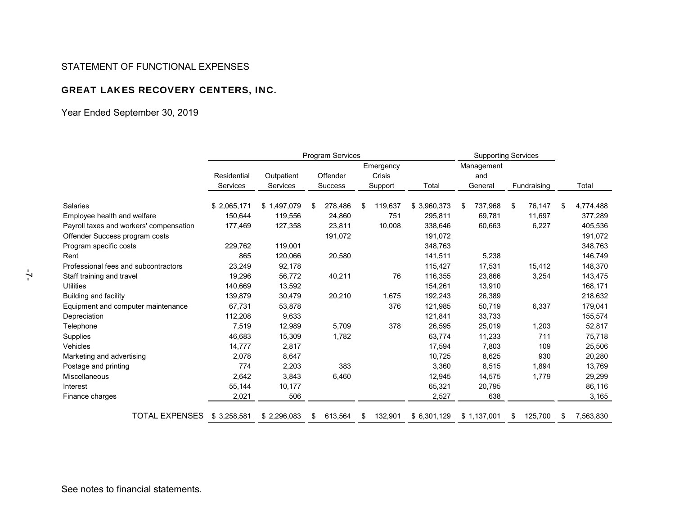#### STATEMENT OF FUNCTIONAL EXPENSES

# GREAT LAKES RECOVERY CENTERS, INC.

Year Ended September 30, 2019

|                                         |             |                 |   | Program Services |    |           |             | <b>Supporting Services</b> |             |    |             |   |           |
|-----------------------------------------|-------------|-----------------|---|------------------|----|-----------|-------------|----------------------------|-------------|----|-------------|---|-----------|
|                                         |             |                 |   |                  |    | Emergency |             |                            | Management  |    |             |   |           |
|                                         | Residential | Outpatient      |   | Offender         |    | Crisis    |             |                            | and         |    |             |   |           |
|                                         | Services    | <b>Services</b> |   | Success          |    | Support   | Total       |                            | General     |    | Fundraising |   | Total     |
| Salaries                                | \$2,065,171 | \$1,497,079     | S | 278,486          | \$ | 119,637   | \$3,960,373 | S                          | 737,968     | \$ | 76,147      | S | 4,774,488 |
| Employee health and welfare             | 150,644     | 119,556         |   | 24,860           |    | 751       | 295,811     |                            | 69,781      |    | 11,697      |   | 377,289   |
| Payroll taxes and workers' compensation | 177,469     | 127,358         |   | 23,811           |    | 10,008    | 338,646     |                            | 60,663      |    | 6,227       |   | 405,536   |
| Offender Success program costs          |             |                 |   | 191,072          |    |           | 191,072     |                            |             |    |             |   | 191,072   |
| Program specific costs                  | 229,762     | 119,001         |   |                  |    |           | 348,763     |                            |             |    |             |   | 348,763   |
| Rent                                    | 865         | 120,066         |   | 20,580           |    |           | 141,511     |                            | 5,238       |    |             |   | 146,749   |
| Professional fees and subcontractors    | 23,249      | 92,178          |   |                  |    |           | 115,427     |                            | 17,531      |    | 15,412      |   | 148,370   |
| Staff training and travel               | 19,296      | 56,772          |   | 40,211           |    | 76        | 116,355     |                            | 23,866      |    | 3,254       |   | 143,475   |
| <b>Utilities</b>                        | 140,669     | 13,592          |   |                  |    |           | 154,261     |                            | 13,910      |    |             |   | 168,171   |
| Building and facility                   | 139,879     | 30,479          |   | 20,210           |    | 1,675     | 192,243     |                            | 26,389      |    |             |   | 218,632   |
| Equipment and computer maintenance      | 67,731      | 53,878          |   |                  |    | 376       | 121,985     |                            | 50,719      |    | 6,337       |   | 179,041   |
| Depreciation                            | 112,208     | 9,633           |   |                  |    |           | 121,841     |                            | 33,733      |    |             |   | 155,574   |
| Telephone                               | 7,519       | 12,989          |   | 5,709            |    | 378       | 26,595      |                            | 25,019      |    | 1,203       |   | 52,817    |
| <b>Supplies</b>                         | 46,683      | 15,309          |   | 1,782            |    |           | 63,774      |                            | 11,233      |    | 711         |   | 75,718    |
| Vehicles                                | 14,777      | 2,817           |   |                  |    |           | 17,594      |                            | 7,803       |    | 109         |   | 25,506    |
| Marketing and advertising               | 2,078       | 8,647           |   |                  |    |           | 10,725      |                            | 8,625       |    | 930         |   | 20,280    |
| Postage and printing                    | 774         | 2,203           |   | 383              |    |           | 3,360       |                            | 8,515       |    | 1,894       |   | 13,769    |
| Miscellaneous                           | 2,642       | 3,843           |   | 6,460            |    |           | 12,945      |                            | 14,575      |    | 1,779       |   | 29,299    |
| Interest                                | 55,144      | 10,177          |   |                  |    |           | 65,321      |                            | 20,795      |    |             |   | 86,116    |
| Finance charges                         | 2,021       | 506             |   |                  |    |           | 2,527       |                            | 638         |    |             |   | 3,165     |
| TOTAL EXPENSES                          | \$3,258,581 | \$2,296,083     | S | 613,564          | S  | 132,901   | \$6,301,129 |                            | \$1,137,001 | \$ | 125,700     | S | 7,563,830 |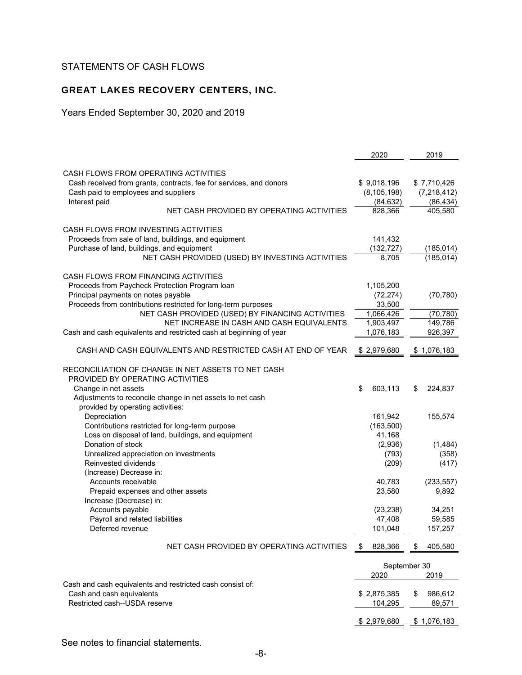# STATEMENTS OF CASH FLOWS

# GREAT LAKES RECOVERY CENTERS, INC.

Years Ended September 30, 2020 and 2019

|                                                                    | 2020                 | 2019          |
|--------------------------------------------------------------------|----------------------|---------------|
|                                                                    |                      |               |
| CASH FLOWS FROM OPERATING ACTIVITIES                               |                      |               |
| Cash received from grants, contracts, fee for services, and donors | \$9,018,196          | \$7,710,426   |
| Cash paid to employees and suppliers                               | (8, 105, 198)        | (7,218,412)   |
| Interest paid<br>NET CASH PROVIDED BY OPERATING ACTIVITIES         | (84, 632)            | (86, 434)     |
|                                                                    | 828,366              | 405,580       |
| CASH FLOWS FROM INVESTING ACTIVITIES                               |                      |               |
| Proceeds from sale of land, buildings, and equipment               | 141,432              |               |
| Purchase of land, buildings, and equipment                         | (132, 727)           | (185, 014)    |
| NET CASH PROVIDED (USED) BY INVESTING ACTIVITIES                   | 8,705                | (185, 014)    |
|                                                                    |                      |               |
| CASH FLOWS FROM FINANCING ACTIVITIES                               |                      |               |
| Proceeds from Paycheck Protection Program Ioan                     | 1,105,200            |               |
| Principal payments on notes payable                                | (72, 274)            | (70, 780)     |
| Proceeds from contributions restricted for long-term purposes      | 33,500               |               |
| NET CASH PROVIDED (USED) BY FINANCING ACTIVITIES                   | 1,066,426            | (70, 780)     |
| NET INCREASE IN CASH AND CASH EQUIVALENTS                          | 1,903,497            | 149,786       |
| Cash and cash equivalents and restricted cash at beginning of year | 1,076,183            | 926,397       |
|                                                                    |                      |               |
| CASH AND CASH EQUIVALENTS AND RESTRICTED CASH AT END OF YEAR       | \$2,979,680          | \$1,076,183   |
| RECONCILIATION OF CHANGE IN NET ASSETS TO NET CASH                 |                      |               |
| PROVIDED BY OPERATING ACTIVITIES                                   |                      |               |
| Change in net assets                                               | \$<br>603,113        | \$<br>224,837 |
| Adjustments to reconcile change in net assets to net cash          |                      |               |
| provided by operating activities:                                  |                      |               |
| Depreciation                                                       | 161,942              | 155,574       |
| Contributions restricted for long-term purpose                     | (163,500)            |               |
| Loss on disposal of land, buildings, and equipment                 | 41,168               |               |
| Donation of stock                                                  | (2,936)              | (1,484)       |
| Unrealized appreciation on investments                             | (793)                | (358)         |
| Reinvested dividends                                               | (209)                | (417)         |
| (Increase) Decrease in:                                            |                      |               |
| Accounts receivable                                                | 40,783               | (233, 557)    |
| Prepaid expenses and other assets                                  | 23,580               | 9,892         |
| Increase (Decrease) in:                                            |                      |               |
| Accounts payable                                                   | (23, 238)            | 34,251        |
| Payroll and related liabilities                                    | 47,408               | 59,585        |
| Deferred revenue                                                   | 101,048              | 157,257       |
|                                                                    |                      |               |
| NET CASH PROVIDED BY OPERATING ACTIVITIES                          | 828,366<br>S         | 405,580<br>\$ |
|                                                                    |                      |               |
|                                                                    | September 30<br>2020 | 2019          |
| Cash and cash equivalents and restricted cash consist of:          |                      |               |
| Cash and cash equivalents                                          | \$2,875,385          | \$<br>986,612 |
| Restricted cash--USDA reserve                                      | 104,295              | 89,571        |
|                                                                    |                      |               |
|                                                                    | \$2,979,680          | \$1,076,183   |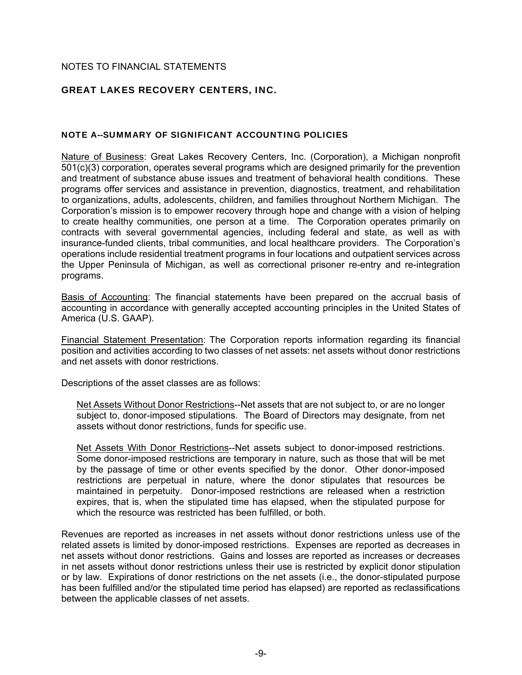# NOTES TO FINANCIAL STATEMENTS

# GREAT LAKES RECOVERY CENTERS, INC.

### NOTE A--SUMMARY OF SIGNIFICANT ACCOUNTING POLICIES

Nature of Business: Great Lakes Recovery Centers, Inc. (Corporation), a Michigan nonprofit 501(c)(3) corporation, operates several programs which are designed primarily for the prevention and treatment of substance abuse issues and treatment of behavioral health conditions. These programs offer services and assistance in prevention, diagnostics, treatment, and rehabilitation to organizations, adults, adolescents, children, and families throughout Northern Michigan. The Corporation's mission is to empower recovery through hope and change with a vision of helping to create healthy communities, one person at a time. The Corporation operates primarily on contracts with several governmental agencies, including federal and state, as well as with insurance-funded clients, tribal communities, and local healthcare providers. The Corporation's operations include residential treatment programs in four locations and outpatient services across the Upper Peninsula of Michigan, as well as correctional prisoner re-entry and re-integration programs.

Basis of Accounting: The financial statements have been prepared on the accrual basis of accounting in accordance with generally accepted accounting principles in the United States of America (U.S. GAAP).

Financial Statement Presentation: The Corporation reports information regarding its financial position and activities according to two classes of net assets: net assets without donor restrictions and net assets with donor restrictions.

Descriptions of the asset classes are as follows:

Net Assets Without Donor Restrictions--Net assets that are not subject to, or are no longer subject to, donor-imposed stipulations. The Board of Directors may designate, from net assets without donor restrictions, funds for specific use.

Net Assets With Donor Restrictions--Net assets subject to donor-imposed restrictions. Some donor-imposed restrictions are temporary in nature, such as those that will be met by the passage of time or other events specified by the donor. Other donor-imposed restrictions are perpetual in nature, where the donor stipulates that resources be maintained in perpetuity. Donor-imposed restrictions are released when a restriction expires, that is, when the stipulated time has elapsed, when the stipulated purpose for which the resource was restricted has been fulfilled, or both.

Revenues are reported as increases in net assets without donor restrictions unless use of the related assets is limited by donor-imposed restrictions. Expenses are reported as decreases in net assets without donor restrictions. Gains and losses are reported as increases or decreases in net assets without donor restrictions unless their use is restricted by explicit donor stipulation or by law. Expirations of donor restrictions on the net assets (i.e., the donor-stipulated purpose has been fulfilled and/or the stipulated time period has elapsed) are reported as reclassifications between the applicable classes of net assets.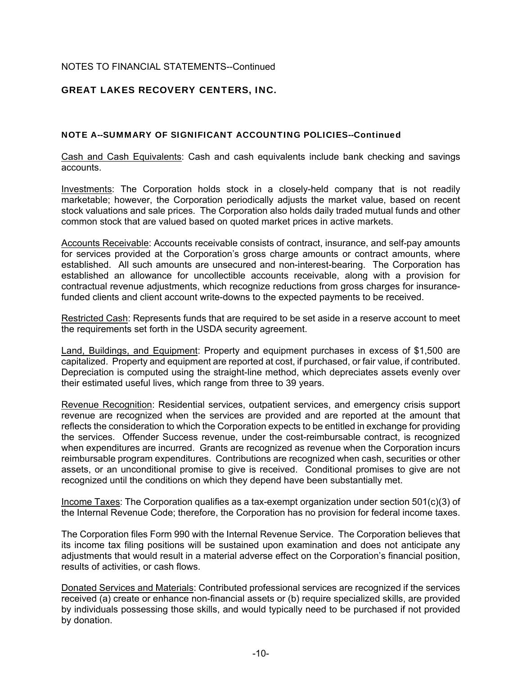# GREAT LAKES RECOVERY CENTERS, INC.

### NOTE A--SUMMARY OF SIGNIFICANT ACCOUNTING POLICIES--Continued

Cash and Cash Equivalents: Cash and cash equivalents include bank checking and savings accounts.

Investments: The Corporation holds stock in a closely-held company that is not readily marketable; however, the Corporation periodically adjusts the market value, based on recent stock valuations and sale prices. The Corporation also holds daily traded mutual funds and other common stock that are valued based on quoted market prices in active markets.

Accounts Receivable: Accounts receivable consists of contract, insurance, and self-pay amounts for services provided at the Corporation's gross charge amounts or contract amounts, where established. All such amounts are unsecured and non-interest-bearing. The Corporation has established an allowance for uncollectible accounts receivable, along with a provision for contractual revenue adjustments, which recognize reductions from gross charges for insurancefunded clients and client account write-downs to the expected payments to be received.

Restricted Cash: Represents funds that are required to be set aside in a reserve account to meet the requirements set forth in the USDA security agreement.

Land, Buildings, and Equipment: Property and equipment purchases in excess of \$1,500 are capitalized. Property and equipment are reported at cost, if purchased, or fair value, if contributed. Depreciation is computed using the straight-line method, which depreciates assets evenly over their estimated useful lives, which range from three to 39 years.

Revenue Recognition: Residential services, outpatient services, and emergency crisis support revenue are recognized when the services are provided and are reported at the amount that reflects the consideration to which the Corporation expects to be entitled in exchange for providing the services. Offender Success revenue, under the cost-reimbursable contract, is recognized when expenditures are incurred. Grants are recognized as revenue when the Corporation incurs reimbursable program expenditures. Contributions are recognized when cash, securities or other assets, or an unconditional promise to give is received. Conditional promises to give are not recognized until the conditions on which they depend have been substantially met.

Income Taxes: The Corporation qualifies as a tax-exempt organization under section 501(c)(3) of the Internal Revenue Code; therefore, the Corporation has no provision for federal income taxes.

The Corporation files Form 990 with the Internal Revenue Service. The Corporation believes that its income tax filing positions will be sustained upon examination and does not anticipate any adjustments that would result in a material adverse effect on the Corporation's financial position, results of activities, or cash flows.

Donated Services and Materials: Contributed professional services are recognized if the services received (a) create or enhance non-financial assets or (b) require specialized skills, are provided by individuals possessing those skills, and would typically need to be purchased if not provided by donation.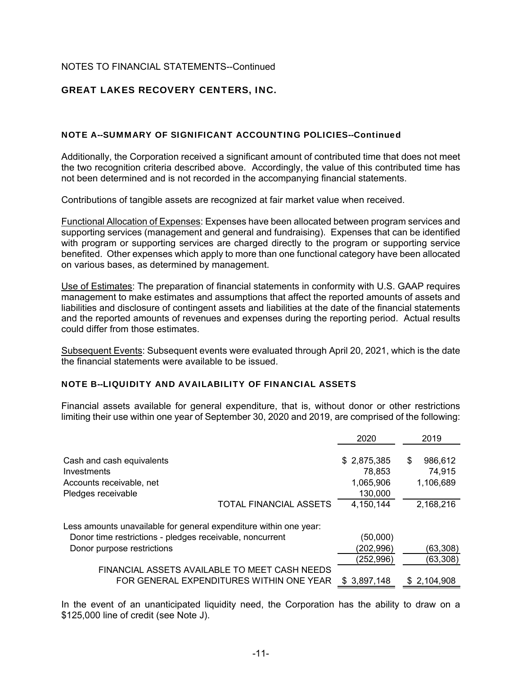# GREAT LAKES RECOVERY CENTERS, INC.

### NOTE A--SUMMARY OF SIGNIFICANT ACCOUNTING POLICIES--Continued

Additionally, the Corporation received a significant amount of contributed time that does not meet the two recognition criteria described above. Accordingly, the value of this contributed time has not been determined and is not recorded in the accompanying financial statements.

Contributions of tangible assets are recognized at fair market value when received.

Functional Allocation of Expenses: Expenses have been allocated between program services and supporting services (management and general and fundraising). Expenses that can be identified with program or supporting services are charged directly to the program or supporting service benefited. Other expenses which apply to more than one functional category have been allocated on various bases, as determined by management.

Use of Estimates: The preparation of financial statements in conformity with U.S. GAAP requires management to make estimates and assumptions that affect the reported amounts of assets and liabilities and disclosure of contingent assets and liabilities at the date of the financial statements and the reported amounts of revenues and expenses during the reporting period. Actual results could differ from those estimates.

Subsequent Events: Subsequent events were evaluated through April 20, 2021, which is the date the financial statements were available to be issued.

### NOTE B--LIQUIDITY AND AVAILABILITY OF FINANCIAL ASSETS

Financial assets available for general expenditure, that is, without donor or other restrictions limiting their use within one year of September 30, 2020 and 2019, are comprised of the following:

|                                                                                           | 2020                 | 2019                |
|-------------------------------------------------------------------------------------------|----------------------|---------------------|
| Cash and cash equivalents                                                                 | \$2,875,385          | 986,612<br>\$       |
| Investments<br>Accounts receivable, net                                                   | 78,853<br>1,065,906  | 74,915<br>1,106,689 |
| Pledges receivable<br><b>TOTAL FINANCIAL ASSETS</b>                                       | 130,000<br>4,150,144 | 2,168,216           |
| Less amounts unavailable for general expenditure within one year:                         |                      |                     |
| Donor time restrictions - pledges receivable, noncurrent                                  | (50,000)             |                     |
| Donor purpose restrictions                                                                | (202,996)            | (63,308)            |
|                                                                                           | (252, 996)           | (63, 308)           |
| FINANCIAL ASSETS AVAILABLE TO MEET CASH NEEDS<br>FOR GENERAL EXPENDITURES WITHIN ONE YEAR | \$3,897,148          | \$2,104,908         |

In the event of an unanticipated liquidity need, the Corporation has the ability to draw on a \$125,000 line of credit (see Note J).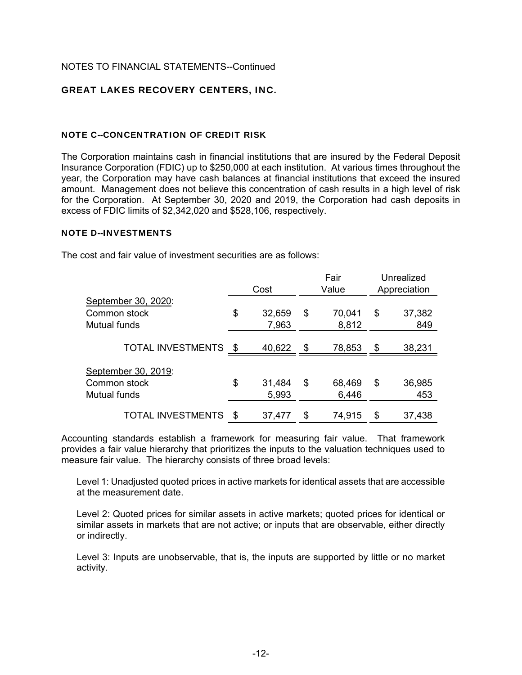# GREAT LAKES RECOVERY CENTERS, INC.

### NOTE C--CONCENTRATION OF CREDIT RISK

The Corporation maintains cash in financial institutions that are insured by the Federal Deposit Insurance Corporation (FDIC) up to \$250,000 at each institution. At various times throughout the year, the Corporation may have cash balances at financial institutions that exceed the insured amount. Management does not believe this concentration of cash results in a high level of risk for the Corporation. At September 30, 2020 and 2019, the Corporation had cash deposits in excess of FDIC limits of \$2,342,020 and \$528,106, respectively.

#### NOTE D--INVESTMENTS

The cost and fair value of investment securities are as follows:

|                                                     | Cost |                 |      | Fair<br>Value   | Unrealized<br>Appreciation |
|-----------------------------------------------------|------|-----------------|------|-----------------|----------------------------|
| September 30, 2020:<br>Common stock<br>Mutual funds | \$   | 32,659<br>7,963 | \$   | 70,041<br>8,812 | \$<br>37,382<br>849        |
| <b>TOTAL INVESTMENTS</b>                            | \$   | 40,622          | - \$ | 78,853          | \$<br>38,231               |
| September 30, 2019:<br>Common stock<br>Mutual funds | \$   | 31,484<br>5,993 | \$   | 68,469<br>6,446 | \$<br>36,985<br>453        |
| <b>TOTAL INVESTMENTS</b>                            | \$   | 37,477          | \$   | 74,915          | \$<br>37,438               |

Accounting standards establish a framework for measuring fair value. That framework provides a fair value hierarchy that prioritizes the inputs to the valuation techniques used to measure fair value. The hierarchy consists of three broad levels:

Level 1: Unadjusted quoted prices in active markets for identical assets that are accessible at the measurement date.

Level 2: Quoted prices for similar assets in active markets; quoted prices for identical or similar assets in markets that are not active; or inputs that are observable, either directly or indirectly.

Level 3: Inputs are unobservable, that is, the inputs are supported by little or no market activity.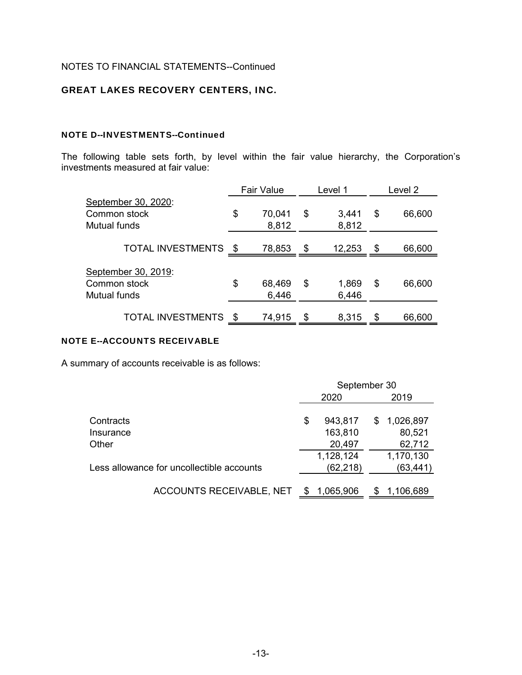# GREAT LAKES RECOVERY CENTERS, INC.

### NOTE D--INVESTMENTS--Continued

The following table sets forth, by level within the fair value hierarchy, the Corporation's investments measured at fair value:

|                                                     | <b>Fair Value</b> |                 | Level 1              | Level 2      |
|-----------------------------------------------------|-------------------|-----------------|----------------------|--------------|
| September 30, 2020:<br>Common stock<br>Mutual funds | \$                | 70,041<br>8,812 | \$<br>3,441<br>8,812 | \$<br>66,600 |
| <b>TOTAL INVESTMENTS</b>                            | - \$              | 78,853          | \$<br>12,253         | \$<br>66,600 |
| September 30, 2019:<br>Common stock<br>Mutual funds | \$                | 68,469<br>6,446 | \$<br>1,869<br>6,446 | \$<br>66,600 |
| <b>TOTAL INVESTMENTS</b>                            |                   | 74,915          | \$<br>8,315          | \$<br>66,600 |

### NOTE E--ACCOUNTS RECEIVABLE

A summary of accounts receivable is as follows:

| September 30 |           |                      |           |  |  |
|--------------|-----------|----------------------|-----------|--|--|
| 2020         |           |                      | 2019      |  |  |
|              |           |                      |           |  |  |
| \$           |           | S                    | 1,026,897 |  |  |
|              | 163,810   |                      | 80,521    |  |  |
|              | 20,497    |                      | 62,712    |  |  |
|              | 1,128,124 |                      | 1,170,130 |  |  |
|              | (62,218)  |                      | (63, 441) |  |  |
|              |           |                      | 1,106,689 |  |  |
|              |           | 943,817<br>1,065,906 |           |  |  |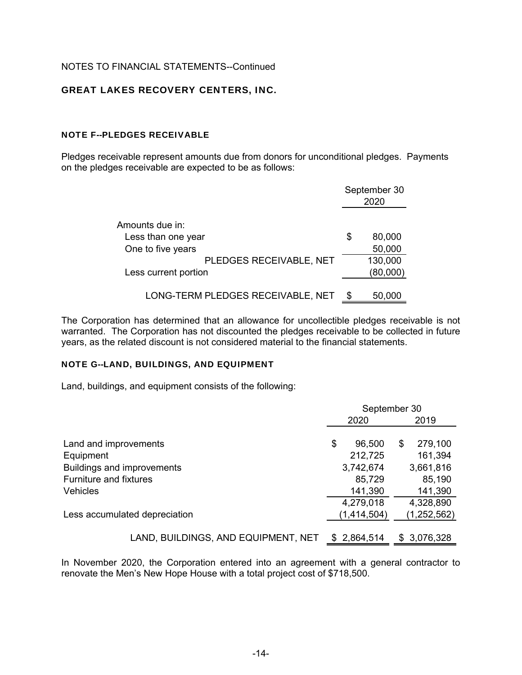### GREAT LAKES RECOVERY CENTERS, INC.

### NOTE F--PLEDGES RECEIVABLE

Pledges receivable represent amounts due from donors for unconditional pledges. Payments on the pledges receivable are expected to be as follows:

|                                   | September 30<br>2020 |
|-----------------------------------|----------------------|
| Amounts due in:                   |                      |
| Less than one year                | \$<br>80,000         |
| One to five years                 | 50,000               |
| PLEDGES RECEIVABLE, NET           | 130,000              |
| Less current portion              | (80,000)             |
| LONG-TERM PLEDGES RECEIVABLE, NET | 50,000               |

The Corporation has determined that an allowance for uncollectible pledges receivable is not warranted. The Corporation has not discounted the pledges receivable to be collected in future years, as the related discount is not considered material to the financial statements.

#### NOTE G--LAND, BUILDINGS, AND EQUIPMENT

Land, buildings, and equipment consists of the following:

|                                     | September 30 |    |               |
|-------------------------------------|--------------|----|---------------|
|                                     | 2020         |    | 2019          |
| Land and improvements               | \$<br>96,500 | \$ | 279,100       |
| Equipment                           | 212,725      |    | 161,394       |
| <b>Buildings and improvements</b>   | 3,742,674    |    | 3,661,816     |
| <b>Furniture and fixtures</b>       | 85,729       |    | 85,190        |
| Vehicles                            | 141,390      |    | 141,390       |
|                                     | 4,279,018    |    | 4,328,890     |
| Less accumulated depreciation       | (1,414,504)  |    | (1, 252, 562) |
|                                     |              |    |               |
| LAND, BUILDINGS, AND EQUIPMENT, NET | \$2,864,514  |    | \$3,076,328   |

In November 2020, the Corporation entered into an agreement with a general contractor to renovate the Men's New Hope House with a total project cost of \$718,500.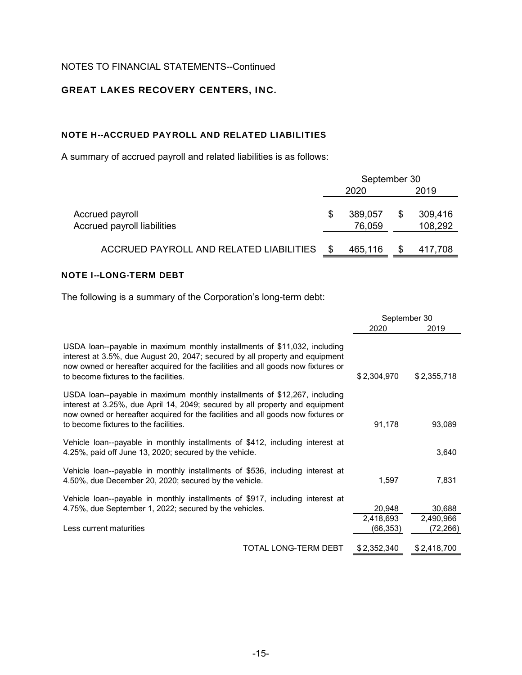# GREAT LAKES RECOVERY CENTERS, INC.

# NOTE H--ACCRUED PAYROLL AND RELATED LIABILITIES

A summary of accrued payroll and related liabilities is as follows:

|                                                       | September 30 |                   |    |                    |
|-------------------------------------------------------|--------------|-------------------|----|--------------------|
|                                                       |              | 2020              |    | 2019               |
| Accrued payroll<br><b>Accrued payroll liabilities</b> | S            | 389,057<br>76,059 | \$ | 309,416<br>108,292 |
| ACCRUED PAYROLL AND RELATED LIABILITIES               | \$.          | 465,116           |    | 417,708            |

### NOTE I--LONG-TERM DEBT

The following is a summary of the Corporation's long-term debt:

|                                                                                                                                                                                                                                                                                        | September 30                    |                                  |
|----------------------------------------------------------------------------------------------------------------------------------------------------------------------------------------------------------------------------------------------------------------------------------------|---------------------------------|----------------------------------|
|                                                                                                                                                                                                                                                                                        | 2020                            | 2019                             |
| USDA loan--payable in maximum monthly installments of \$11,032, including<br>interest at 3.5%, due August 20, 2047; secured by all property and equipment<br>now owned or hereafter acquired for the facilities and all goods now fixtures or<br>to become fixtures to the facilities. | \$2,304,970                     | \$2,355,718                      |
| USDA loan--payable in maximum monthly installments of \$12,267, including<br>interest at 3.25%, due April 14, 2049; secured by all property and equipment<br>now owned or hereafter acquired for the facilities and all goods now fixtures or<br>to become fixtures to the facilities. | 91,178                          | 93,089                           |
| Vehicle loan--payable in monthly installments of \$412, including interest at<br>4.25%, paid off June 13, 2020; secured by the vehicle.                                                                                                                                                |                                 | 3,640                            |
| Vehicle loan--payable in monthly installments of \$536, including interest at<br>4.50%, due December 20, 2020; secured by the vehicle.                                                                                                                                                 | 1,597                           | 7,831                            |
| Vehicle loan--payable in monthly installments of \$917, including interest at<br>4.75%, due September 1, 2022; secured by the vehicles.<br>Less current maturities                                                                                                                     | 20,948<br>2,418,693<br>(66,353) | 30,688<br>2,490,966<br>(72, 266) |
| TOTAL LONG-TERM DEBT                                                                                                                                                                                                                                                                   | \$2,352,340                     | \$2,418,700                      |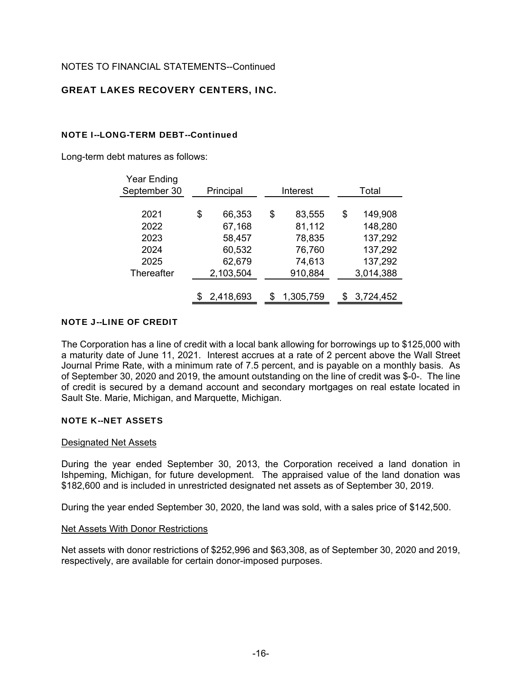# GREAT LAKES RECOVERY CENTERS, INC.

### NOTE I--LONG-TERM DEBT--Continued

Long-term debt matures as follows:

| <b>Year Ending</b> |              |          |           |       |           |  |
|--------------------|--------------|----------|-----------|-------|-----------|--|
| September 30       | Principal    | Interest |           | Total |           |  |
|                    |              |          |           |       |           |  |
| 2021               | \$<br>66,353 | \$       | 83,555    | \$    | 149,908   |  |
| 2022               | 67,168       |          | 81,112    |       | 148,280   |  |
| 2023               | 58,457       |          | 78,835    |       | 137,292   |  |
| 2024               | 60,532       |          | 76,760    |       | 137,292   |  |
| 2025               | 62,679       |          | 74,613    |       | 137,292   |  |
| Thereafter         | 2,103,504    |          | 910,884   |       | 3,014,388 |  |
|                    |              |          |           |       |           |  |
|                    | 2,418,693    | \$       | 1,305,759 | \$    | 3,724,452 |  |

### NOTE J--LINE OF CREDIT

The Corporation has a line of credit with a local bank allowing for borrowings up to \$125,000 with a maturity date of June 11, 2021. Interest accrues at a rate of 2 percent above the Wall Street Journal Prime Rate, with a minimum rate of 7.5 percent, and is payable on a monthly basis. As of September 30, 2020 and 2019, the amount outstanding on the line of credit was \$-0-. The line of credit is secured by a demand account and secondary mortgages on real estate located in Sault Ste. Marie, Michigan, and Marquette, Michigan.

### NOTE K--NET ASSETS

### Designated Net Assets

During the year ended September 30, 2013, the Corporation received a land donation in Ishpeming, Michigan, for future development. The appraised value of the land donation was \$182,600 and is included in unrestricted designated net assets as of September 30, 2019.

During the year ended September 30, 2020, the land was sold, with a sales price of \$142,500.

### Net Assets With Donor Restrictions

Net assets with donor restrictions of \$252,996 and \$63,308, as of September 30, 2020 and 2019, respectively, are available for certain donor-imposed purposes.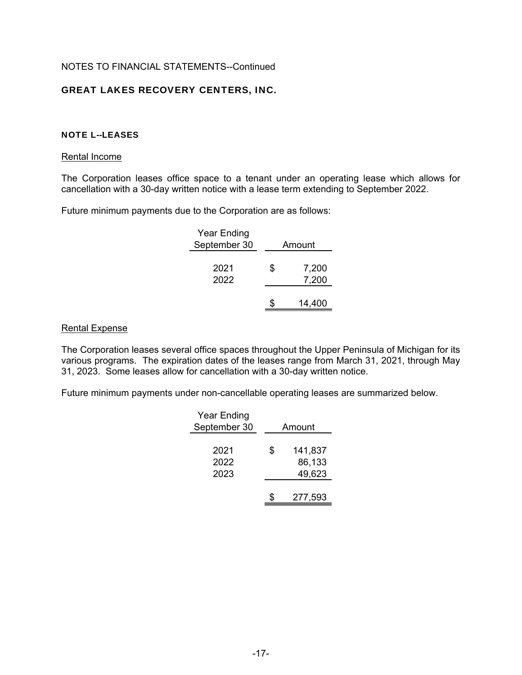# GREAT LAKES RECOVERY CENTERS, INC.

### NOTE L--LEASES

#### Rental Income

The Corporation leases office space to a tenant under an operating lease which allows for cancellation with a 30-day written notice with a lease term extending to September 2022.

Future minimum payments due to the Corporation are as follows:

| Year Ending<br>September 30 | Amount |                |  |
|-----------------------------|--------|----------------|--|
| 2021<br>2022                | \$     | 7,200<br>7,200 |  |
|                             |        | 14,400         |  |

### Rental Expense

The Corporation leases several office spaces throughout the Upper Peninsula of Michigan for its various programs. The expiration dates of the leases range from March 31, 2021, through May 31, 2023. Some leases allow for cancellation with a 30-day written notice.

Future minimum payments under non-cancellable operating leases are summarized below.

| Year Ending<br>September 30 | Amount |                             |  |  |
|-----------------------------|--------|-----------------------------|--|--|
| 2021<br>2022<br>2023        | \$     | 141,837<br>86,133<br>49,623 |  |  |
|                             |        | 277,593                     |  |  |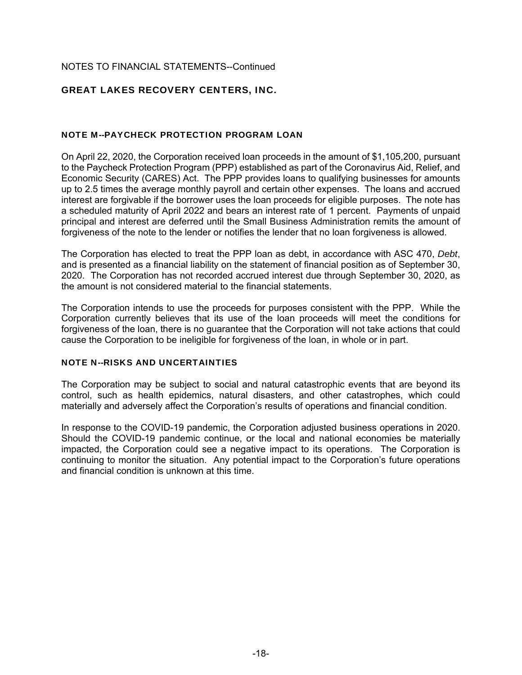# GREAT LAKES RECOVERY CENTERS, INC.

### NOTE M--PAYCHECK PROTECTION PROGRAM LOAN

On April 22, 2020, the Corporation received loan proceeds in the amount of \$1,105,200, pursuant to the Paycheck Protection Program (PPP) established as part of the Coronavirus Aid, Relief, and Economic Security (CARES) Act. The PPP provides loans to qualifying businesses for amounts up to 2.5 times the average monthly payroll and certain other expenses. The loans and accrued interest are forgivable if the borrower uses the loan proceeds for eligible purposes. The note has a scheduled maturity of April 2022 and bears an interest rate of 1 percent. Payments of unpaid principal and interest are deferred until the Small Business Administration remits the amount of forgiveness of the note to the lender or notifies the lender that no loan forgiveness is allowed.

The Corporation has elected to treat the PPP loan as debt, in accordance with ASC 470, *Debt*, and is presented as a financial liability on the statement of financial position as of September 30, 2020. The Corporation has not recorded accrued interest due through September 30, 2020, as the amount is not considered material to the financial statements.

The Corporation intends to use the proceeds for purposes consistent with the PPP. While the Corporation currently believes that its use of the loan proceeds will meet the conditions for forgiveness of the loan, there is no guarantee that the Corporation will not take actions that could cause the Corporation to be ineligible for forgiveness of the loan, in whole or in part.

### NOTE N--RISKS AND UNCERTAINTIES

The Corporation may be subject to social and natural catastrophic events that are beyond its control, such as health epidemics, natural disasters, and other catastrophes, which could materially and adversely affect the Corporation's results of operations and financial condition.

In response to the COVID-19 pandemic, the Corporation adjusted business operations in 2020. Should the COVID-19 pandemic continue, or the local and national economies be materially impacted, the Corporation could see a negative impact to its operations. The Corporation is continuing to monitor the situation. Any potential impact to the Corporation's future operations and financial condition is unknown at this time.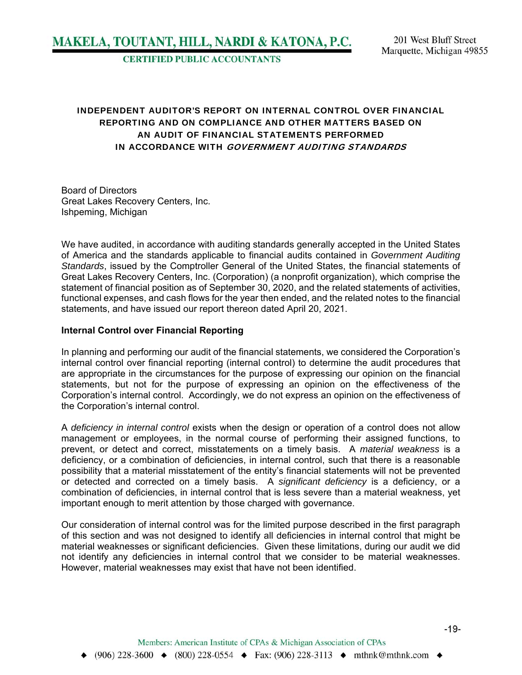**CERTIFIED PUBLIC ACCOUNTANTS** 

# INDEPENDENT AUDITOR'S REPORT ON INTERNAL CONTROL OVER FINANCIAL REPORTING AND ON COMPLIANCE AND OTHER MATTERS BASED ON AN AUDIT OF FINANCIAL STATEMENTS PERFORMED IN ACCORDANCE WITH GOVERNMENT AUDITING STANDARDS

Board of Directors Great Lakes Recovery Centers, Inc. Ishpeming, Michigan

We have audited, in accordance with auditing standards generally accepted in the United States of America and the standards applicable to financial audits contained in *Government Auditing Standards*, issued by the Comptroller General of the United States, the financial statements of Great Lakes Recovery Centers, Inc. (Corporation) (a nonprofit organization), which comprise the statement of financial position as of September 30, 2020, and the related statements of activities, functional expenses, and cash flows for the year then ended, and the related notes to the financial statements, and have issued our report thereon dated April 20, 2021.

#### **Internal Control over Financial Reporting**

In planning and performing our audit of the financial statements, we considered the Corporation's internal control over financial reporting (internal control) to determine the audit procedures that are appropriate in the circumstances for the purpose of expressing our opinion on the financial statements, but not for the purpose of expressing an opinion on the effectiveness of the Corporation's internal control. Accordingly, we do not express an opinion on the effectiveness of the Corporation's internal control.

A *deficiency in internal control* exists when the design or operation of a control does not allow management or employees, in the normal course of performing their assigned functions, to prevent, or detect and correct, misstatements on a timely basis. A *material weakness* is a deficiency, or a combination of deficiencies, in internal control, such that there is a reasonable possibility that a material misstatement of the entity's financial statements will not be prevented or detected and corrected on a timely basis. A *significant deficiency* is a deficiency, or a combination of deficiencies, in internal control that is less severe than a material weakness, yet important enough to merit attention by those charged with governance.

Our consideration of internal control was for the limited purpose described in the first paragraph of this section and was not designed to identify all deficiencies in internal control that might be material weaknesses or significant deficiencies. Given these limitations, during our audit we did not identify any deficiencies in internal control that we consider to be material weaknesses. However, material weaknesses may exist that have not been identified.